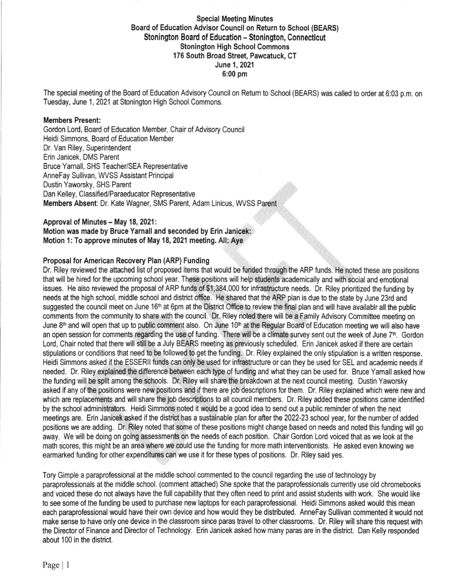# Special Meeting Minutes Board of Education Advisor Council on Return to School (BEARS) Stonington Board of Education - Stonington, Connecticut Stonington High School Commons 176 South Broad Street, Pawcatuck, CT June 1,2021 6:00 pm

The special meeting of the Board of Education Advisory Council on Retum to School (BEARS) was called to order at 6:03 p.m. on Tuesday, June 1, 2021 at Stonington High School Commons.

### Members Present:

Gordon Lord, Board of Education Member, Chair of Advisory Council Heidi Simmons, Board of Education Member Dr. Van Riley, Superintendent Erin Janicek, DMS Parent Bruce Yamall, SHS Teacher/SEA Representative AnneFay Sullivan, WVSS Assistant Principal Dustin Yaworsky, SHS Parent Dan Kelley, Classified/Paraeducator Representative Members Absent: Dr. Kate Wagner, SMS Parent, Adam Linicus, WVSS Parent

Approval of Minutes - May 18, 2021: Motion was made by Bruce Yarnall and seconded by Erin Janicek: Motion 1: To approve minutes of May 18, 2021 meeting. All: Aye

### Proposal for American Recovery Plan (ARP) Funding

Dr. Riley reviewed the attached list of proposed items that would be funded through the ARP funds. He noted these are positions that will be hired for the upcoming school year. These positions will help students academically and with social and emotional issues. He also reviewed the proposal of ARP funds of \$1,384,000 for infrastructure needs. Dr. Riley prioritized the funding by needs at the high school, middle school and district ofice. He shared that the ARP plan is due to the state by June 23rd and suggested the council meet on June 16<sup>th</sup> at 6pm at the District Office to review the final plan and will have availablr all the public comments from the community to share with the council. Dr. Riley noted there will be a Family Advisory Committee meeting on June  $8<sup>th</sup>$  and will open that up to public comment also. On June 10<sup>th</sup> at the Regular Board of Education meeting we will also have an open session for comments regarding the use of funding. There will be a climate survey sent out the week of June 7<sup>th</sup>. Gordon Lord, Chair noted that there will still be a July BEARS meeting as previously scheduled. Erin Janicek asked ifthere are certain stipulations or conditions that need to be followed to get the funding. Dr. Riley explained the only stipulation is a written response. Heidi Simmons asked if the ESSERII funds can only be used for infrastructure or can they be used for SEL and academic needs if needed. Dr. Riley explained the difference between each type of funding and what they can be used for. Bruce Yamall asked how the funding will be split among the schools. Dr. Riley will share the breakdown at the next council meeting. Dustin Yaworsky asked if any of the positions were new positions and if there are job descriptions for them. Dr. Riley explained which were new and which are replacements and will share the job descriptions to all council members. Dr. Riley added these positions came identified by the school administrators. Heidi Simmons noted it would be a good idea to send out a public reminder of when the next meetings are. Erin Janicek asked if the district has a sustainable plan for afier the 2022-23 school year, for the number of added positions we are adding. Dr. Riley noted that some of these positions might change based on needs and noted this funding will go away. We will be doing on going assessments on the needs of each position. Chair Gordon Lord voiced that as we look at the math scores, this might be an area where we could use the funding for more math interventionists. He asked even knowing we earmarked funding for other expenditures can we use it for these types of positions. Dr. Riley said yes.

Tory Gimple a paraprofessional at the middle school commented to the council regarding the use of technology by paraprofessionals at the middle school. (comment attached) She spoke that the paraprofessionals cunently use old chromebooks and voiced these do not always have the full capability that they often need to print and assist students with work. She would like to see some of the funding be used to purchase new laptops for each paraprofessional. Heidi Simmons asked would this mean each paraprofessional would have their own device and how would they be distributed. AnneFay Sullivan commented it would not make sense to have only one device in the classroom since paras travel to other classrooms. Dr. Riley will share this request with the Director of Finance and Director of Technology. Erin Janicek asked how many paras are in the district. Dan Kelly responded about 100 in the district.